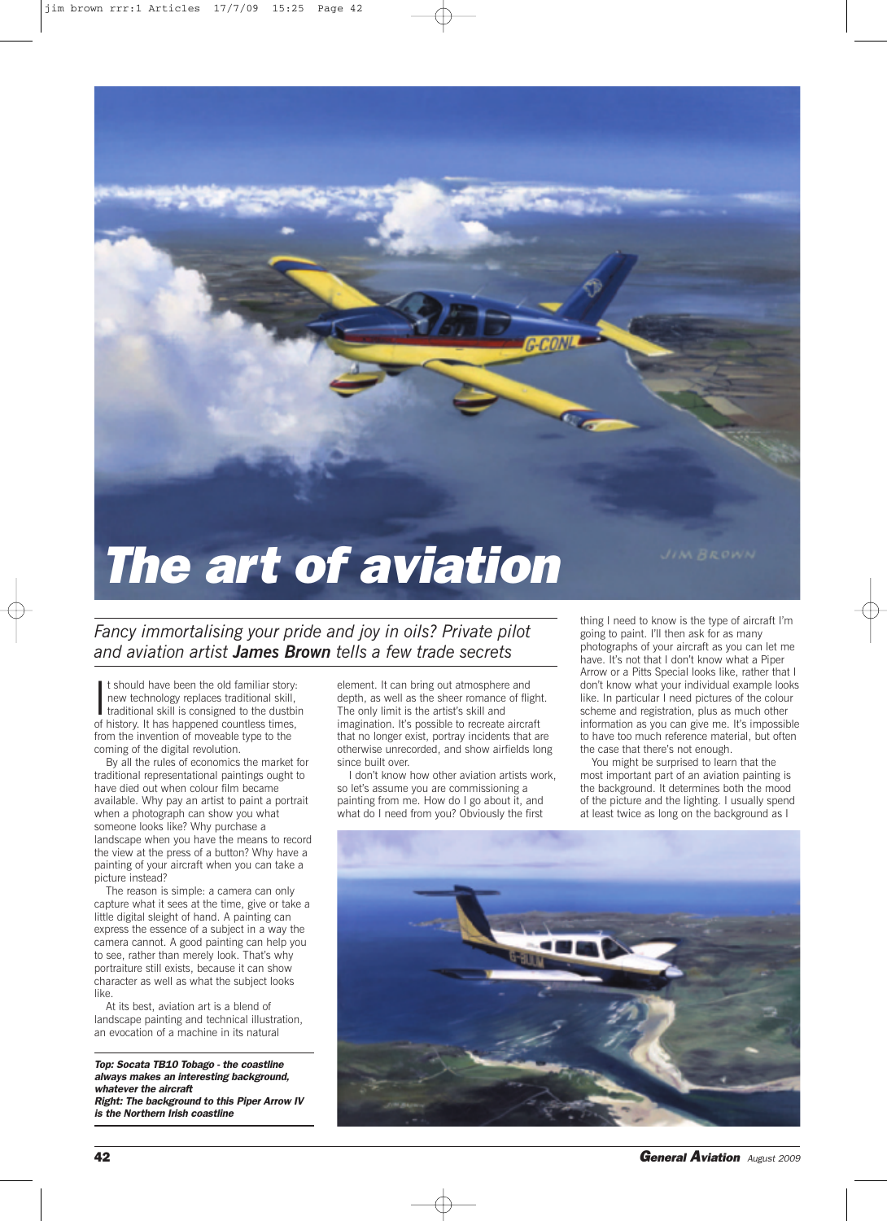

## *The art of aviation*

*Fancy immortalising your pride and joy in oils? Private pilot and aviation artist James Brown tells a few trade secrets*

I t should have been the old familiar story.<br>I new technology replaces traditional skill, traditional skill is consigned to the dustbof history. It has happened countless times, t should have been the old familiar story: new technology replaces traditional skill, traditional skill is consigned to the dustbin from the invention of moveable type to the coming of the digital revolution.

By all the rules of economics the market for traditional representational paintings ought to have died out when colour film became available. Why pay an artist to paint a portrait when a photograph can show you what someone looks like? Why purchase a landscape when you have the means to record the view at the press of a button? Why have a painting of your aircraft when you can take a picture instead?

The reason is simple: a camera can only capture what it sees at the time, give or take a little digital sleight of hand. A painting can express the essence of a subject in a way the camera cannot. A good painting can help you to see, rather than merely look. That's why portraiture still exists, because it can show character as well as what the subject looks like.

At its best, aviation art is a blend of landscape painting and technical illustration, an evocation of a machine in its natural

*Top: Socata TB10 Tobago - the coastline always makes an interesting background, whatever the aircraft Right: The background to this Piper Arrow IV*

*is the Northern Irish coastline*

element. It can bring out atmosphere and depth, as well as the sheer romance of flight. The only limit is the artist's skill and imagination. It's possible to recreate aircraft that no longer exist, portray incidents that are otherwise unrecorded, and show airfields long since built over.

I don't know how other aviation artists work, so let's assume you are commissioning a painting from me. How do I go about it, and what do I need from you? Obviously the first

thing I need to know is the type of aircraft I'm going to paint. I'll then ask for as many photographs of your aircraft as you can let me have. It's not that I don't know what a Piper Arrow or a Pitts Special looks like, rather that I don't know what your individual example looks like. In particular I need pictures of the colour scheme and registration, plus as much other information as you can give me. It's impossible to have too much reference material, but often the case that there's not enough.

You might be surprised to learn that the most important part of an aviation painting is the background. It determines both the mood of the picture and the lighting. I usually spend at least twice as long on the background as I



**42** *General Aviation August <sup>2009</sup>*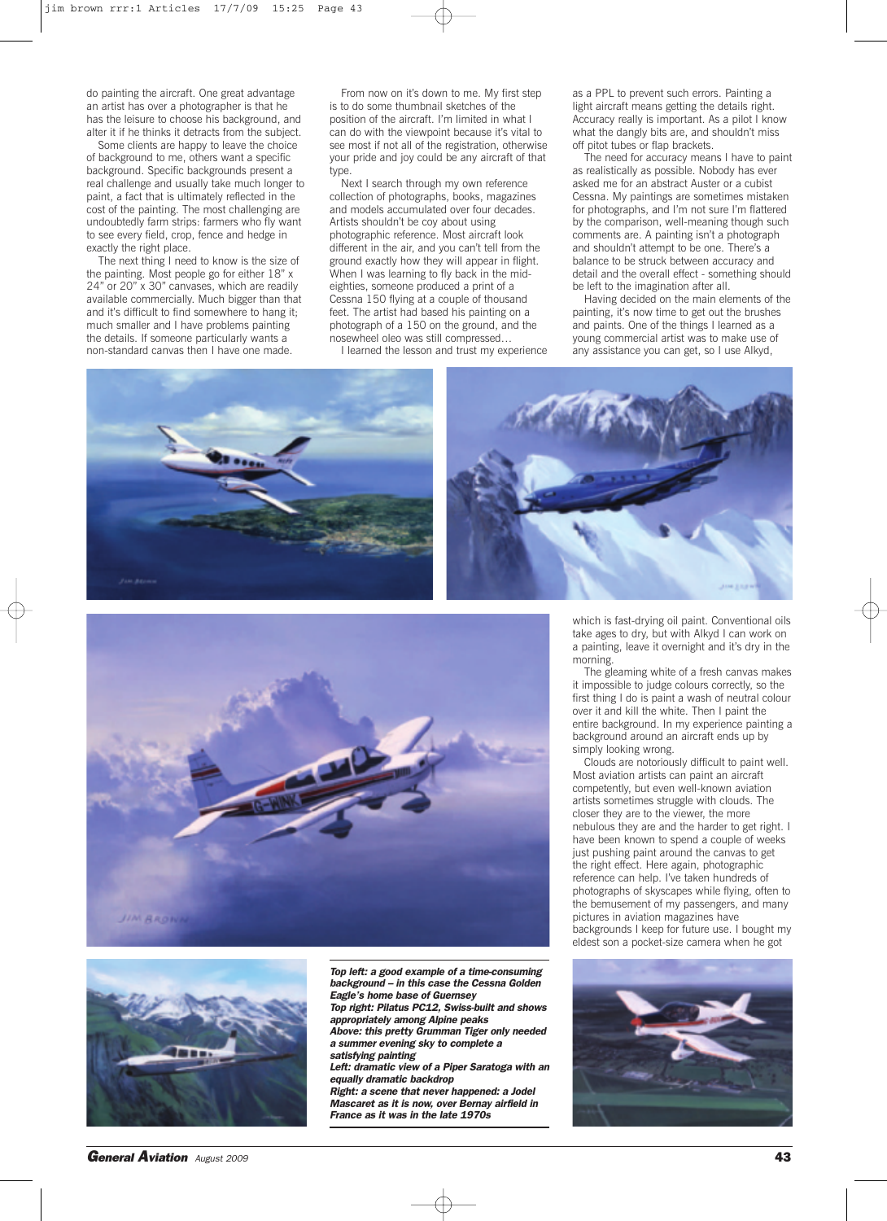do painting the aircraft. One great advantage an artist has over a photographer is that he has the leisure to choose his background, and alter it if he thinks it detracts from the subject.

Some clients are happy to leave the choice of background to me, others want a specific background. Specific backgrounds present a real challenge and usually take much longer to paint, a fact that is ultimately reflected in the cost of the painting. The most challenging are undoubtedly farm strips: farmers who fly want to see every field, crop, fence and hedge in exactly the right place.

The next thing I need to know is the size of the painting. Most people go for either 18" x 24" or 20" x 30" canvases, which are readily available commercially. Much bigger than that and it's difficult to find somewhere to hang it; much smaller and I have problems painting the details. If someone particularly wants a non-standard canvas then I have one made.

From now on it's down to me. My first step is to do some thumbnail sketches of the position of the aircraft. I'm limited in what I can do with the viewpoint because it's vital to see most if not all of the registration, otherwise your pride and joy could be any aircraft of that type.

Next I search through my own reference collection of photographs, books, magazines and models accumulated over four decades. Artists shouldn't be coy about using photographic reference. Most aircraft look different in the air, and you can't tell from the ground exactly how they will appear in flight. When I was learning to fly back in the mideighties, someone produced a print of a Cessna 150 flying at a couple of thousand feet. The artist had based his painting on a photograph of a 150 on the ground, and the nosewheel oleo was still compressed…

I learned the lesson and trust my experience

as a PPL to prevent such errors. Painting a light aircraft means getting the details right. Accuracy really is important. As a pilot I know what the dangly bits are, and shouldn't miss off pitot tubes or flap brackets.

The need for accuracy means I have to paint as realistically as possible. Nobody has ever asked me for an abstract Auster or a cubist Cessna. My paintings are sometimes mistaken for photographs, and I'm not sure I'm flattered by the comparison, well-meaning though such comments are. A painting isn't a photograph and shouldn't attempt to be one. There's a balance to be struck between accuracy and detail and the overall effect - something should be left to the imagination after all.

Having decided on the main elements of the painting, it's now time to get out the brushes and paints. One of the things I learned as a young commercial artist was to make use of any assistance you can get, so I use Alkyd,







*Top left: a good example of a time-consuming background – in this case the Cessna Golden Eagle's home base of Guernsey Top right: Pilatus PC12, Swiss-built and shows appropriately among Alpine peaks*

*Above: this pretty Grumman Tiger only needed a summer evening sky to complete a satisfying painting*

*Left: dramatic view of a Piper Saratoga with an equally dramatic backdrop*

*Right: a scene that never happened: a Jodel Mascaret as it is now, over Bernay airfield in France as it was in the late 1970s*

which is fast-drying oil paint. Conventional oils take ages to dry, but with Alkyd I can work on a painting, leave it overnight and it's dry in the morning.

The gleaming white of a fresh canvas makes it impossible to judge colours correctly, so the first thing I do is paint a wash of neutral colour over it and kill the white. Then I paint the entire background. In my experience painting a background around an aircraft ends up by simply looking wrong.

Clouds are notoriously difficult to paint well. Most aviation artists can paint an aircraft competently, but even well-known aviation artists sometimes struggle with clouds. The closer they are to the viewer, the more nebulous they are and the harder to get right. I have been known to spend a couple of weeks just pushing paint around the canvas to get the right effect. Here again, photographic reference can help. I've taken hundreds of photographs of skyscapes while flying, often to the bemusement of my passengers, and many pictures in aviation magazines have backgrounds I keep for future use. I bought my eldest son a pocket-size camera when he got